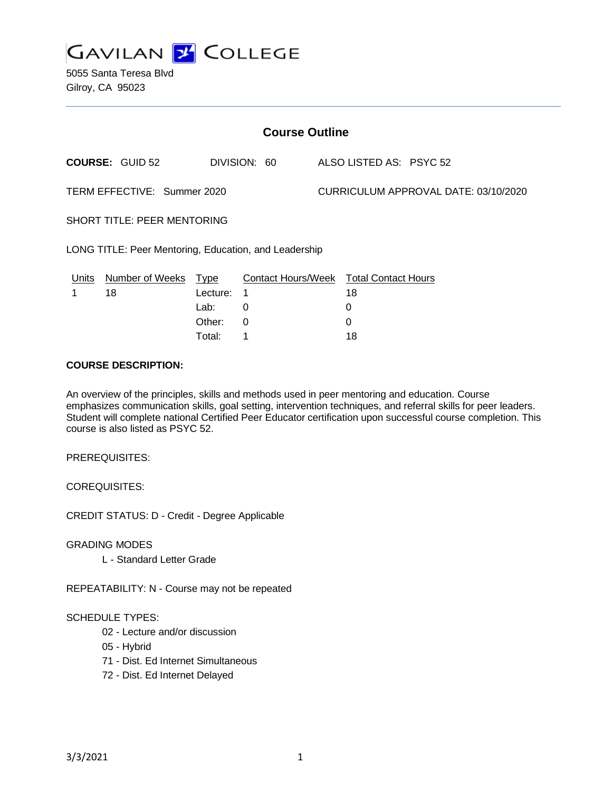

| <b>Course Outline</b>                                 |                        |             |                                        |  |                                      |  |  |
|-------------------------------------------------------|------------------------|-------------|----------------------------------------|--|--------------------------------------|--|--|
|                                                       | <b>COURSE: GUID 52</b> |             | DIVISION: 60                           |  | ALSO LISTED AS: PSYC 52              |  |  |
| TERM EFFECTIVE: Summer 2020                           |                        |             |                                        |  | CURRICULUM APPROVAL DATE: 03/10/2020 |  |  |
| <b>SHORT TITLE: PEER MENTORING</b>                    |                        |             |                                        |  |                                      |  |  |
| LONG TITLE: Peer Mentoring, Education, and Leadership |                        |             |                                        |  |                                      |  |  |
| Units                                                 | <b>Number of Weeks</b> | <b>Type</b> | Contact Hours/Week Total Contact Hours |  |                                      |  |  |
|                                                       | 18                     | Lecture:    | 1                                      |  | 18                                   |  |  |
|                                                       |                        | Lab:        | 0                                      |  | 0                                    |  |  |
|                                                       |                        | Other:      | 0                                      |  | $\Omega$                             |  |  |
|                                                       |                        | Total:      | 1                                      |  | 18                                   |  |  |

#### **COURSE DESCRIPTION:**

An overview of the principles, skills and methods used in peer mentoring and education. Course emphasizes communication skills, goal setting, intervention techniques, and referral skills for peer leaders. Student will complete national Certified Peer Educator certification upon successful course completion. This course is also listed as PSYC 52.

PREREQUISITES:

COREQUISITES:

CREDIT STATUS: D - Credit - Degree Applicable

GRADING MODES

L - Standard Letter Grade

REPEATABILITY: N - Course may not be repeated

#### SCHEDULE TYPES:

- 02 Lecture and/or discussion
- 05 Hybrid
- 71 Dist. Ed Internet Simultaneous
- 72 Dist. Ed Internet Delayed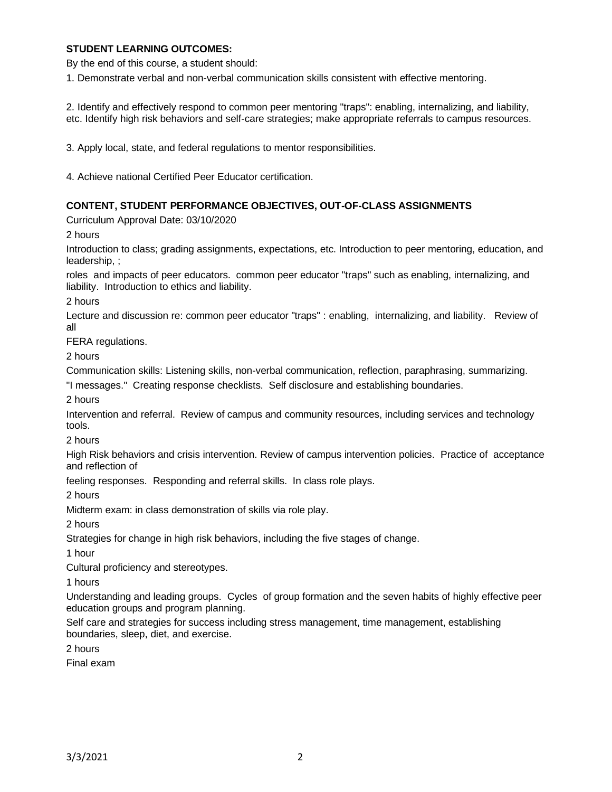### **STUDENT LEARNING OUTCOMES:**

By the end of this course, a student should:

1. Demonstrate verbal and non-verbal communication skills consistent with effective mentoring.

2. Identify and effectively respond to common peer mentoring "traps": enabling, internalizing, and liability, etc. Identify high risk behaviors and self-care strategies; make appropriate referrals to campus resources.

3. Apply local, state, and federal regulations to mentor responsibilities.

4. Achieve national Certified Peer Educator certification.

#### **CONTENT, STUDENT PERFORMANCE OBJECTIVES, OUT-OF-CLASS ASSIGNMENTS**

Curriculum Approval Date: 03/10/2020

2 hours

Introduction to class; grading assignments, expectations, etc. Introduction to peer mentoring, education, and leadership, ;

roles and impacts of peer educators. common peer educator "traps" such as enabling, internalizing, and liability. Introduction to ethics and liability.

2 hours

Lecture and discussion re: common peer educator "traps" : enabling, internalizing, and liability. Review of all

FERA regulations.

2 hours

Communication skills: Listening skills, non-verbal communication, reflection, paraphrasing, summarizing.

"I messages." Creating response checklists. Self disclosure and establishing boundaries.

2 hours

Intervention and referral. Review of campus and community resources, including services and technology tools.

2 hours

High Risk behaviors and crisis intervention. Review of campus intervention policies. Practice of acceptance and reflection of

feeling responses. Responding and referral skills. In class role plays.

2 hours

Midterm exam: in class demonstration of skills via role play.

2 hours

Strategies for change in high risk behaviors, including the five stages of change.

1 hour

Cultural proficiency and stereotypes.

1 hours

Understanding and leading groups. Cycles of group formation and the seven habits of highly effective peer education groups and program planning.

Self care and strategies for success including stress management, time management, establishing boundaries, sleep, diet, and exercise.

2 hours

Final exam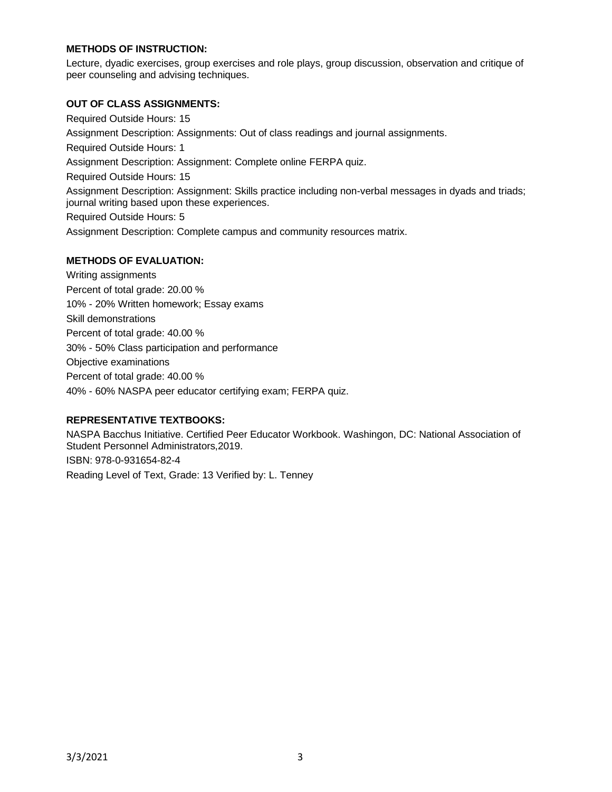### **METHODS OF INSTRUCTION:**

Lecture, dyadic exercises, group exercises and role plays, group discussion, observation and critique of peer counseling and advising techniques.

### **OUT OF CLASS ASSIGNMENTS:**

Required Outside Hours: 15 Assignment Description: Assignments: Out of class readings and journal assignments. Required Outside Hours: 1 Assignment Description: Assignment: Complete online FERPA quiz. Required Outside Hours: 15 Assignment Description: Assignment: Skills practice including non-verbal messages in dyads and triads; journal writing based upon these experiences. Required Outside Hours: 5 Assignment Description: Complete campus and community resources matrix.

# **METHODS OF EVALUATION:**

Writing assignments Percent of total grade: 20.00 % 10% - 20% Written homework; Essay exams Skill demonstrations Percent of total grade: 40.00 % 30% - 50% Class participation and performance Objective examinations Percent of total grade: 40.00 % 40% - 60% NASPA peer educator certifying exam; FERPA quiz.

# **REPRESENTATIVE TEXTBOOKS:**

NASPA Bacchus Initiative. Certified Peer Educator Workbook. Washingon, DC: National Association of Student Personnel Administrators,2019. ISBN: 978-0-931654-82-4 Reading Level of Text, Grade: 13 Verified by: L. Tenney